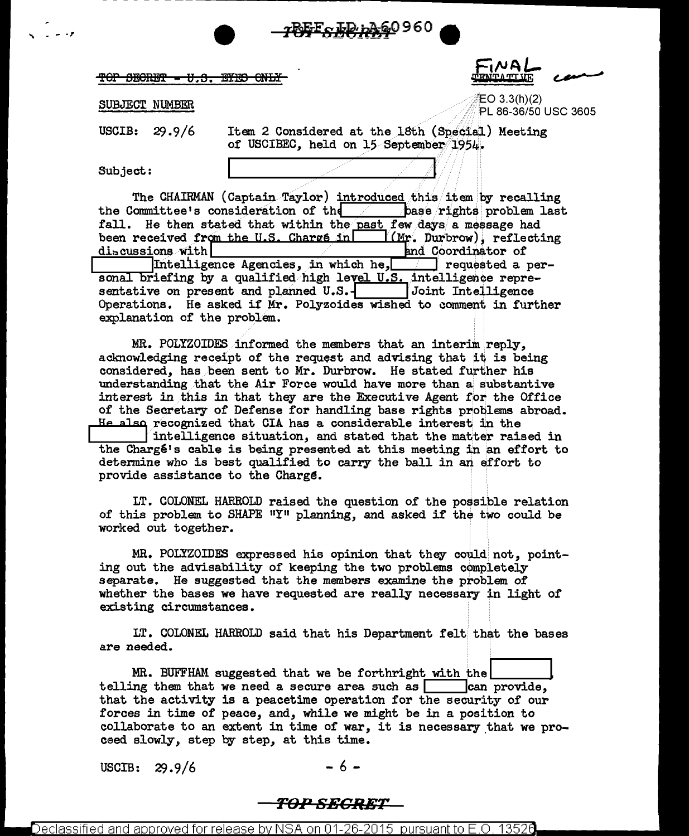#### TOP SECRET -**EYES ONL**

**AVE** 

PL 86-36/50 USC 3605

 $EO 3.3(h)(2)$ 

# SUBJECT NUMBER

**USCIB:**  $29.9/6$  Item 2 Considered at the 18th (Special) Meeting of USCIBEC, held on 15 September 1954.

<u> REF - ID 1A60960</u>

Subject:

The CHAIRMAN (Captain Taylor) introduced this item by recalling the Committee's consideration of the character of the problem last fall. He then stated that within the past few days a message had been received from the U.S. Charge in  $\Box$  (Mr. Durbrow), reflecting discussions with and Coordinator of Intelligence Agencies, in which he, requested a personal briefing by a qualified high level U.S. intelligence representative on present and planned U.S.- Joint Intelligence Operations. He asked if Mr. Polyzoides wished to comment in further explanation of the problem.

MR. POLYZOIDES informed the members that an interim reply, acknowledging receipt of the request and advising that it is being considered, has been sent to Mr. Durbrow. He stated further his understanding that the Air Force would have more than a substantive interest in this in that they are the Executive Agent for the Office of the Secretary of Defense for handling base rights problems abroad. He also recognized that CIA has a considerable interest in the

intelligence situation, and stated that the matter raised in the Chargé's cable is being presented at this meeting in an effort to determine who is best qualified to carry the ball in an effort to provide assistance to the Charge.

LT. COLONEL HARROLD raised the question of the possible relation of this problem to SHAPE "Y" planning, and asked if the two could be worked out together.

MR. POLYZOIDES expressed his opinion that they could not, pointing out the advisability of keeping the two problems completely separate. He suggested that the members examine the problem of whether the bases we have requested are really necessary in light of existing circumstances.

LT. COLONEL HARROLD said that his Department felt that the bases are needed.

MR. BUFFHAM suggested that we be forthright with the telling them that we need a secure area such as  $\Box$  can provide, that the activity is a peacetime operation for the security of our forces in time of peace, and, while we might be in a position to collaborate to an extent in time of war, it is necessary that we proceed slowly, step by step, at this time.

USCIB:  $29.9/6$ 

- 6 -

# <del>TOP SECRET</del>

Declassified and approved for release bv NSA on 01-26-2015 pursuant to E.O. 13526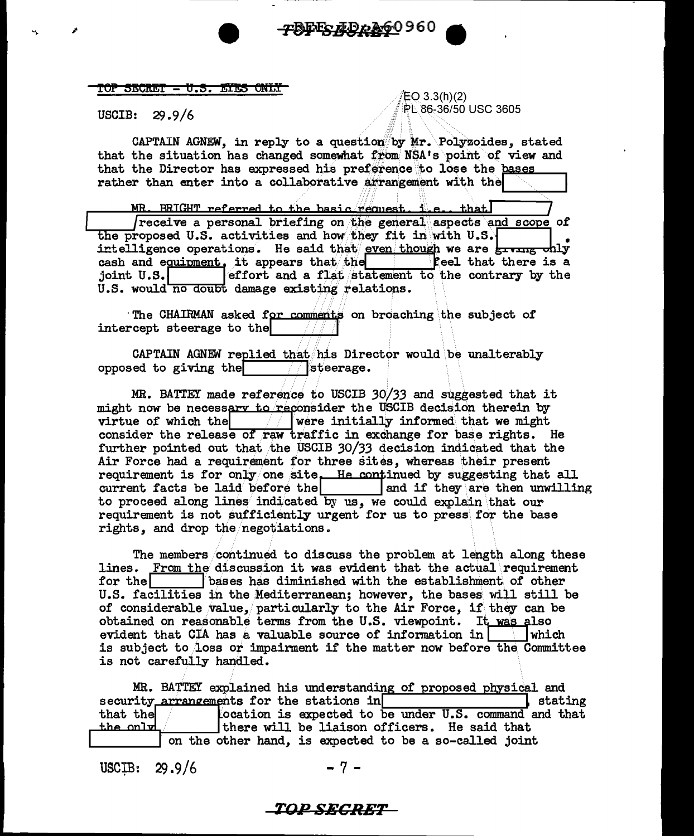## TOP SECRET - U.S. ETES ONLY

**USCIB:**  $29.9/6$  EO 3.3(h)(2) PL 86-36/50 USC 3605

CAPTAIN AGNEW, in reply to a question by Mr. Polyzoides, stated that the situation has changed somewhat from NSA's point of view and that the Director has expressed his preference to lose the bases rather than enter into a collaborative arrangement with the

-TBEES AD 0 060 960

MR. BRIGHT referred to the basic request. i.e., that receive a personal briefing on the general aspects and scope of the proposed U.S. activities and how they fit in with U.S. intelligence operations. He said that even though we are **giving chly** cash and equipment, it appears that the **Ceel** that there is a effort and a flat statement to the contrary by the joint U.S. U.S. would no doubt damage existing relations.

The CHAIRMAN asked for comments on broaching the subject of intercept steerage to the

CAPTAIN AGNEW replied that his Director would be unalterably  $\Box$  steerage. opposed to giving the

MR. BATTEY made reference to USCIB 30/33 and suggested that it might now be necessary to reconsider the USCIB decision therein by virtue of which the  $\frac{1}{\sqrt{2}}$  were initially informed that we might consider the release of raw traffic in exchange for base rights. He further pointed out that the USCIB 30/33 decision indicated that the Air Force had a requirement for three sites, whereas their present requirement is for only one site. He continued by suggesting that all current facts be laid before the same and if they are then unwilling to proceed along lines indicated by us, we could explain that our requirement is not sufficiently urgent for us to press for the base rights, and drop the negotiations.

The members continued to discuss the problem at length along these lines. From the discussion it was evident that the actual requirement bases has diminished with the establishment of other for thel U.S. facilities in the Mediterranean; however, the bases will still be of considerable value, particularly to the Air Force, if they can be obtained on reasonable terms from the U.S. viewpoint. It was also evident that  $CIA$  has a valuable source of information in **which** is subject to loss or impairment if the matter now before the Committee is not carefully handled.

MR. BATTEY explained his understanding of proposed physical and security arrangements for the stations in l stating location is expected to be under U.S. command and that that the the onl<del>u</del> there will be liaison officers. He said that on the other hand, is expected to be a so-called joint

USCIB:  $29.9/6$ 

-7-

# *TOP SECRET*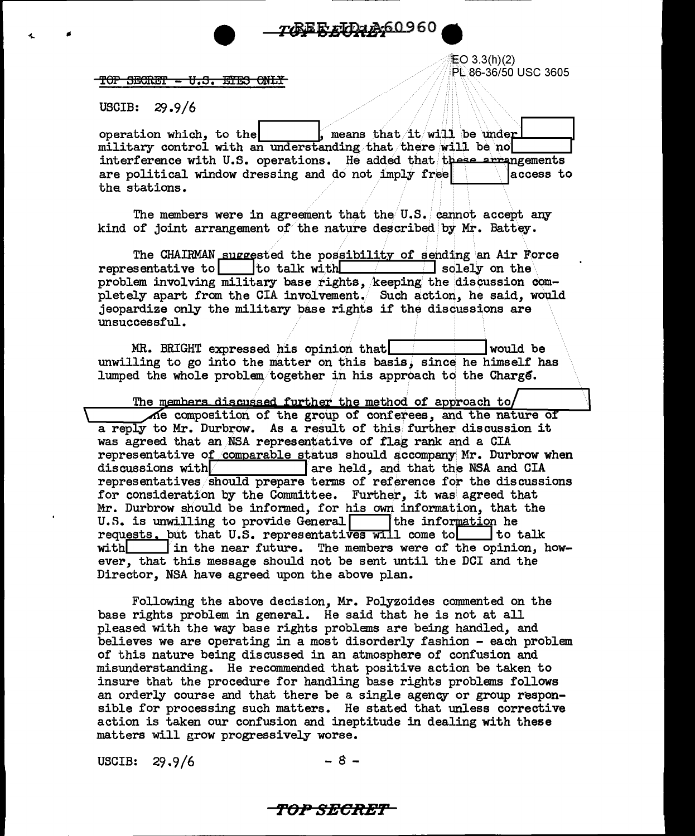77REF TD3A60960

TOP SECRET - U.S. EYES ONLY

图 3.3(h)(2) PL 86-36/50 USC 3605

 $29.9/6$ **USCIB:** 

, means that it will be under operation which, to the military control with an understanding that there will be no interference with U.S. operations. He added that these arrangements are political window dressing and do not imply free laccess to the stations.

The members were in agreement that the U.S. cannot accept any kind of joint arrangement of the nature described by Mr. Battey.

The CHAIRMAN suggested the possibility of sending an Air Force representative to telk with  $\Box$  solely on the  $\Box$ problem involving military base rights, keeping the discussion completely apart from the CIA involvement. Such action, he said, would jeopardize only the military base rights if the discussions are unsuccessful.

MR. BRIGHT expressed his opinion that would be unwilling to go into the matter on this basis, since he himself has lumped the whole problem together in his approach to the Charge.

The members discussed further the method of approach to The composition of the group of conferees, and the nature of a reply to Mr. Durbrow. As a result of this further discussion it was agreed that an NSA representative of flag rank and a CIA representative of comparable status should accompany Mr. Durbrow when Tare held, and that the NSA and CIA discussions with representatives should prepare terms of reference for the discussions for consideration by the Committee. Further, it was agreed that Mr. Durbrow should be informed, for his own information, that the U.S. is unwilling to provide General [15] the information he requests. put that U.S. representatives will come to to talk with  $\Box$  in the near future. The members were of the opinion, however, that this message should not be sent until the DCI and the Director, NSA have agreed upon the above plan.

Following the above decision, Mr. Polyzoides commented on the base rights problem in general. He said that he is not at all pleased with the way base rights problems are being handled, and believes we are operating in a most disorderly fashion - each problem of this nature being discussed in an atmosphere of confusion and misunderstanding. He recommended that positive action be taken to insure that the procedure for handling base rights problems follows an orderly course and that there be a single agency or group responsible for processing such matters. He stated that unless corrective action is taken our confusion and ineptitude in dealing with these matters will grow progressively worse.

USCIB:  $29.9/6$ 

TOP SECRET